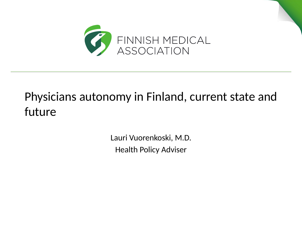

# Physicians autonomy in Finland, current state and future

Lauri Vuorenkoski, M.D. Health Policy Adviser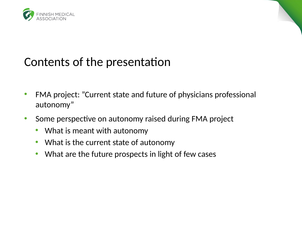

### Contents of the presentation

- FMA project: "Current state and future of physicians professional autonomy"
- Some perspective on autonomy raised during FMA project
	- What is meant with autonomy
	- What is the current state of autonomy
	- What are the future prospects in light of few cases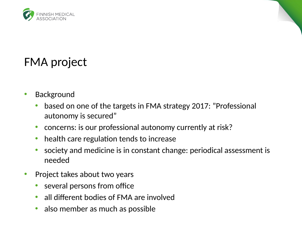

## FMA project

- Background
	- based on one of the targets in FMA strategy 2017: "Professional autonomy is secured"
	- concerns: is our professional autonomy currently at risk?
	- health care regulation tends to increase
	- society and medicine is in constant change: periodical assessment is needed
- Project takes about two years
	- several persons from office
	- all different bodies of FMA are involved
	- also member as much as possible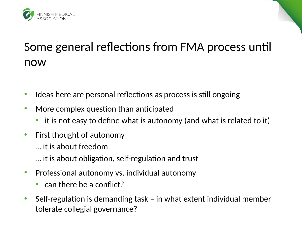

## Some general reflections from FMA process until now

- Ideas here are personal reflections as process is still ongoing
- More complex question than anticipated
	- it is not easy to define what is autonomy (and what is related to it)
- First thought of autonomy
	- … it is about freedom
	- … it is about obligation, self-regulation and trust
- Professional autonomy vs. individual autonomy
	- can there be a conflict?
- Self-regulation is demanding task in what extent individual member tolerate collegial governance?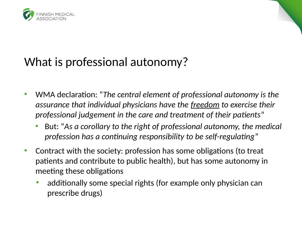

## What is professional autonomy?

- WMA declaration: "*The central element of professional autonomy is the assurance that individual physicians have the freedom to exercise their professional judgement in the care and treatment of their patients*"
	- But: "*As a corollary to the right of professional autonomy, the medical profession has a continuing responsibility to be self-regulating*"
- Contract with the society: profession has some obligations (to treat patients and contribute to public health), but has some autonomy in meeting these obligations
	- additionally some special rights (for example only physician can prescribe drugs)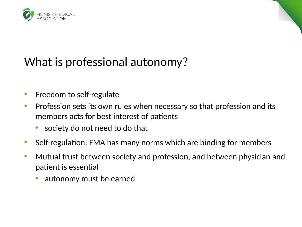



# What is professional autonomy?

- Freedom to self-regulate
- Profession sets its own rules when necessary so that profession and its members acts for best interest of patients
	- society do not need to do that
- Self-regulation: FMA has many norms which are binding for members
- Mutual trust between society and profession, and between physician and patient is essential
	- autonomy must be earned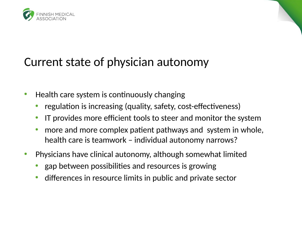

#### Current state of physician autonomy

- Health care system is continuously changing
	- regulation is increasing (quality, safety, cost-effectiveness)
	- IT provides more efficient tools to steer and monitor the system
	- more and more complex patient pathways and system in whole, health care is teamwork – individual autonomy narrows?
- Physicians have clinical autonomy, although somewhat limited
	- gap between possibilities and resources is growing
	- differences in resource limits in public and private sector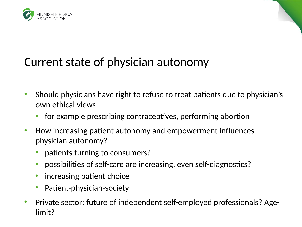



- Should physicians have right to refuse to treat patients due to physician's own ethical views
	- for example prescribing contraceptives, performing abortion
- How increasing patient autonomy and empowerment influences physician autonomy?
	- patients turning to consumers?
	- possibilities of self-care are increasing, even self-diagnostics?
	- increasing patient choice
	- Patient-physician-society
- Private sector: future of independent self-employed professionals? Agelimit?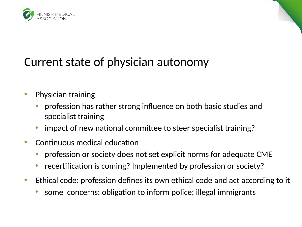



- Physician training
	- profession has rather strong influence on both basic studies and specialist training
	- impact of new national committee to steer specialist training?
- Continuous medical education
	- profession or society does not set explicit norms for adequate CME
	- recertification is coming? Implemented by profession or society?
- Ethical code: profession defines its own ethical code and act according to it
	- some concerns: obligation to inform police; illegal immigrants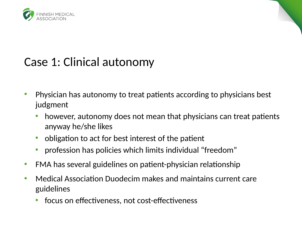



## Case 1: Clinical autonomy

- Physician has autonomy to treat patients according to physicians best judgment
	- however, autonomy does not mean that physicians can treat patients anyway he/she likes
	- obligation to act for best interest of the patient
	- profession has policies which limits individual "freedom"
- FMA has several guidelines on patient-physician relationship
- Medical Association Duodecim makes and maintains current care guidelines
	- focus on effectiveness, not cost-effectiveness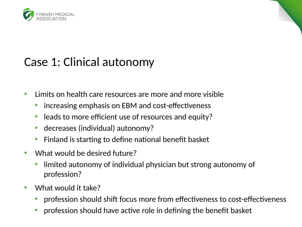

### Case 1: Clinical autonomy

- Limits on health care resources are more and more visible
	- increasing emphasis on EBM and cost-effectiveness
	- leads to more efficient use of resources and equity?
	- decreases (individual) autonomy?
	- Finland is starting to define national benefit basket
- What would be desired future?
	- limited autonomy of individual physician but strong autonomy of profession?
- What would it take?
	- profession should shift focus more from effectiveness to cost-effectiveness
	- profession should have active role in defining the benefit basket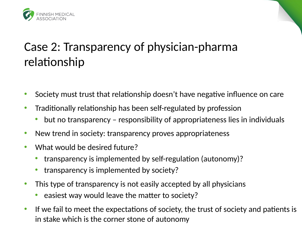

# Case 2: Transparency of physician-pharma relationship

- Society must trust that relationship doesn't have negative influence on care
- Traditionally relationship has been self-regulated by profession
	- but no transparency responsibility of appropriateness lies in individuals
- New trend in society: transparency proves appropriateness
- What would be desired future?
	- transparency is implemented by self-regulation (autonomy)?
	- transparency is implemented by society?
- This type of transparency is not easily accepted by all physicians
	- easiest way would leave the matter to society?
- If we fail to meet the expectations of society, the trust of society and patients is in stake which is the corner stone of autonomy